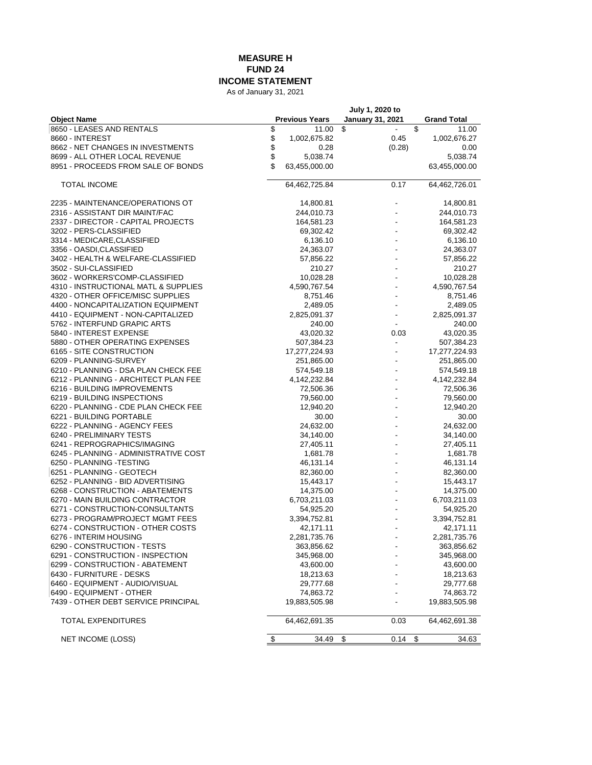## **MEASURE H FUND 24 INCOME STATEMENT**

As of January 31, 2021

| <b>January 31, 2021</b><br><b>Object Name</b><br><b>Previous Years</b><br><b>Grand Total</b><br>8650 - LEASES AND RENTALS<br>\$<br>\$<br>\$<br>11.00<br>11.00<br>\$<br>8660 - INTEREST<br>0.45<br>1,002,675.82<br>1,002,676.27<br>\$<br>(0.28)<br>8662 - NET CHANGES IN INVESTMENTS<br>0.28<br>0.00<br>\$<br>8699 - ALL OTHER LOCAL REVENUE<br>5,038.74<br>5,038.74<br>\$<br>8951 - PROCEEDS FROM SALE OF BONDS<br>63,455,000.00<br>63,455,000.00<br>0.17<br><b>TOTAL INCOME</b><br>64,462,725.84<br>64,462,726.01<br>2235 - MAINTENANCE/OPERATIONS OT<br>14,800.81<br>14,800.81<br>2316 - ASSISTANT DIR MAINT/FAC<br>244,010.73<br>244,010.73<br>2337 - DIRECTOR - CAPITAL PROJECTS<br>164,581.23<br>164,581.23<br>3202 - PERS-CLASSIFIED<br>69,302.42<br>69,302.42<br>3314 - MEDICARE, CLASSIFIED<br>6,136.10<br>6,136.10<br>3356 - OASDI,CLASSIFIED<br>24,363.07<br>24,363.07<br>3402 - HEALTH & WELFARE-CLASSIFIED<br>57,856.22<br>57,856.22<br>3502 - SUI-CLASSIFIED<br>210.27<br>210.27<br>3602 - WORKERS'COMP-CLASSIFIED<br>10,028.28<br>10,028.28<br>4310 - INSTRUCTIONAL MATL & SUPPLIES<br>4,590,767.54<br>4,590,767.54<br>4320 - OTHER OFFICE/MISC SUPPLIES<br>8,751.46<br>8,751.46<br>4400 - NONCAPITALIZATION EQUIPMENT<br>2,489.05<br>2,489.05<br>4410 - EQUIPMENT - NON-CAPITALIZED<br>2,825,091.37<br>2,825,091.37<br>5762 - INTERFUND GRAPIC ARTS<br>240.00<br>240.00<br>5840 - INTEREST EXPENSE<br>43,020.32<br>0.03<br>43,020.35<br>5880 - OTHER OPERATING EXPENSES<br>507,384.23<br>507,384.23<br>6165 - SITE CONSTRUCTION<br>17,277,224.93<br>17,277,224.93<br>6209 - PLANNING-SURVEY<br>251,865.00<br>251,865.00<br>6210 - PLANNING - DSA PLAN CHECK FEE<br>574,549.18<br>574,549.18<br>6212 - PLANNING - ARCHITECT PLAN FEE<br>4,142,232.84<br>4,142,232.84<br>6216 - BUILDING IMPROVEMENTS<br>72,506.36<br>72,506.36<br>6219 - BUILDING INSPECTIONS<br>79,560.00<br>79,560.00<br>6220 - PLANNING - CDE PLAN CHECK FEE<br>12,940.20<br>12,940.20<br>6221 - BUILDING PORTABLE<br>30.00<br>30.00<br>6222 - PLANNING - AGENCY FEES<br>24,632.00<br>24,632.00<br>6240 - PRELIMINARY TESTS<br>34,140.00<br>34,140.00<br>6241 - REPROGRAPHICS/IMAGING<br>27,405.11<br>27,405.11<br>6245 - PLANNING - ADMINISTRATIVE COST<br>1,681.78<br>1,681.78<br>6250 - PLANNING -TESTING<br>46,131.14<br>46,131.14<br>6251 - PLANNING - GEOTECH<br>82,360.00<br>82,360.00<br>6252 - PLANNING - BID ADVERTISING<br>15,443.17<br>15,443.17<br>6268 - CONSTRUCTION - ABATEMENTS<br>14,375.00<br>14,375.00<br>6270 - MAIN BUILDING CONTRACTOR<br>6,703,211.03<br>6,703,211.03<br>6271 - CONSTRUCTION-CONSULTANTS<br>54,925.20<br>54,925.20<br>6273 - PROGRAM/PROJECT MGMT FEES<br>3,394,752.81<br>3,394,752.81<br>6274 - CONSTRUCTION - OTHER COSTS<br>42,171.11<br>42,171.11<br>6276 - INTERIM HOUSING<br>2,281,735.76<br>2,281,735.76<br>6290 - CONSTRUCTION - TESTS<br>363,856.62<br>363,856.62<br>6291 - CONSTRUCTION - INSPECTION<br>345,968.00<br>345,968.00<br>6299 - CONSTRUCTION - ABATEMENT<br>43,600.00<br>43,600.00<br>6430 - FURNITURE - DESKS<br>18,213.63<br>18,213.63<br>6460 - EQUIPMENT - AUDIO/VISUAL<br>29,777.68<br>29,777.68<br>6490 - EQUIPMENT - OTHER<br>74,863.72<br>74,863.72<br>7439 - OTHER DEBT SERVICE PRINCIPAL<br>19,883,505.98<br>19,883,505.98<br>TOTAL EXPENDITURES<br>64,462,691.35<br>0.03<br>64,462,691.38<br>$0.14$ \$<br>34.49<br>\$<br><b>NET INCOME (LOSS)</b><br>\$<br>34.63 |  | July 1, 2020 to |  |  |
|---------------------------------------------------------------------------------------------------------------------------------------------------------------------------------------------------------------------------------------------------------------------------------------------------------------------------------------------------------------------------------------------------------------------------------------------------------------------------------------------------------------------------------------------------------------------------------------------------------------------------------------------------------------------------------------------------------------------------------------------------------------------------------------------------------------------------------------------------------------------------------------------------------------------------------------------------------------------------------------------------------------------------------------------------------------------------------------------------------------------------------------------------------------------------------------------------------------------------------------------------------------------------------------------------------------------------------------------------------------------------------------------------------------------------------------------------------------------------------------------------------------------------------------------------------------------------------------------------------------------------------------------------------------------------------------------------------------------------------------------------------------------------------------------------------------------------------------------------------------------------------------------------------------------------------------------------------------------------------------------------------------------------------------------------------------------------------------------------------------------------------------------------------------------------------------------------------------------------------------------------------------------------------------------------------------------------------------------------------------------------------------------------------------------------------------------------------------------------------------------------------------------------------------------------------------------------------------------------------------------------------------------------------------------------------------------------------------------------------------------------------------------------------------------------------------------------------------------------------------------------------------------------------------------------------------------------------------------------------------------------------------------------------------------------------------------------------------------------------------------------------------------------------------------------------------------------------------------------------------------------------------------------------------------------------------------------------------------------------------------------------------------------------------------------|--|-----------------|--|--|
|                                                                                                                                                                                                                                                                                                                                                                                                                                                                                                                                                                                                                                                                                                                                                                                                                                                                                                                                                                                                                                                                                                                                                                                                                                                                                                                                                                                                                                                                                                                                                                                                                                                                                                                                                                                                                                                                                                                                                                                                                                                                                                                                                                                                                                                                                                                                                                                                                                                                                                                                                                                                                                                                                                                                                                                                                                                                                                                                                                                                                                                                                                                                                                                                                                                                                                                                                                                                                           |  |                 |  |  |
|                                                                                                                                                                                                                                                                                                                                                                                                                                                                                                                                                                                                                                                                                                                                                                                                                                                                                                                                                                                                                                                                                                                                                                                                                                                                                                                                                                                                                                                                                                                                                                                                                                                                                                                                                                                                                                                                                                                                                                                                                                                                                                                                                                                                                                                                                                                                                                                                                                                                                                                                                                                                                                                                                                                                                                                                                                                                                                                                                                                                                                                                                                                                                                                                                                                                                                                                                                                                                           |  |                 |  |  |
|                                                                                                                                                                                                                                                                                                                                                                                                                                                                                                                                                                                                                                                                                                                                                                                                                                                                                                                                                                                                                                                                                                                                                                                                                                                                                                                                                                                                                                                                                                                                                                                                                                                                                                                                                                                                                                                                                                                                                                                                                                                                                                                                                                                                                                                                                                                                                                                                                                                                                                                                                                                                                                                                                                                                                                                                                                                                                                                                                                                                                                                                                                                                                                                                                                                                                                                                                                                                                           |  |                 |  |  |
|                                                                                                                                                                                                                                                                                                                                                                                                                                                                                                                                                                                                                                                                                                                                                                                                                                                                                                                                                                                                                                                                                                                                                                                                                                                                                                                                                                                                                                                                                                                                                                                                                                                                                                                                                                                                                                                                                                                                                                                                                                                                                                                                                                                                                                                                                                                                                                                                                                                                                                                                                                                                                                                                                                                                                                                                                                                                                                                                                                                                                                                                                                                                                                                                                                                                                                                                                                                                                           |  |                 |  |  |
|                                                                                                                                                                                                                                                                                                                                                                                                                                                                                                                                                                                                                                                                                                                                                                                                                                                                                                                                                                                                                                                                                                                                                                                                                                                                                                                                                                                                                                                                                                                                                                                                                                                                                                                                                                                                                                                                                                                                                                                                                                                                                                                                                                                                                                                                                                                                                                                                                                                                                                                                                                                                                                                                                                                                                                                                                                                                                                                                                                                                                                                                                                                                                                                                                                                                                                                                                                                                                           |  |                 |  |  |
|                                                                                                                                                                                                                                                                                                                                                                                                                                                                                                                                                                                                                                                                                                                                                                                                                                                                                                                                                                                                                                                                                                                                                                                                                                                                                                                                                                                                                                                                                                                                                                                                                                                                                                                                                                                                                                                                                                                                                                                                                                                                                                                                                                                                                                                                                                                                                                                                                                                                                                                                                                                                                                                                                                                                                                                                                                                                                                                                                                                                                                                                                                                                                                                                                                                                                                                                                                                                                           |  |                 |  |  |
|                                                                                                                                                                                                                                                                                                                                                                                                                                                                                                                                                                                                                                                                                                                                                                                                                                                                                                                                                                                                                                                                                                                                                                                                                                                                                                                                                                                                                                                                                                                                                                                                                                                                                                                                                                                                                                                                                                                                                                                                                                                                                                                                                                                                                                                                                                                                                                                                                                                                                                                                                                                                                                                                                                                                                                                                                                                                                                                                                                                                                                                                                                                                                                                                                                                                                                                                                                                                                           |  |                 |  |  |
|                                                                                                                                                                                                                                                                                                                                                                                                                                                                                                                                                                                                                                                                                                                                                                                                                                                                                                                                                                                                                                                                                                                                                                                                                                                                                                                                                                                                                                                                                                                                                                                                                                                                                                                                                                                                                                                                                                                                                                                                                                                                                                                                                                                                                                                                                                                                                                                                                                                                                                                                                                                                                                                                                                                                                                                                                                                                                                                                                                                                                                                                                                                                                                                                                                                                                                                                                                                                                           |  |                 |  |  |
|                                                                                                                                                                                                                                                                                                                                                                                                                                                                                                                                                                                                                                                                                                                                                                                                                                                                                                                                                                                                                                                                                                                                                                                                                                                                                                                                                                                                                                                                                                                                                                                                                                                                                                                                                                                                                                                                                                                                                                                                                                                                                                                                                                                                                                                                                                                                                                                                                                                                                                                                                                                                                                                                                                                                                                                                                                                                                                                                                                                                                                                                                                                                                                                                                                                                                                                                                                                                                           |  |                 |  |  |
|                                                                                                                                                                                                                                                                                                                                                                                                                                                                                                                                                                                                                                                                                                                                                                                                                                                                                                                                                                                                                                                                                                                                                                                                                                                                                                                                                                                                                                                                                                                                                                                                                                                                                                                                                                                                                                                                                                                                                                                                                                                                                                                                                                                                                                                                                                                                                                                                                                                                                                                                                                                                                                                                                                                                                                                                                                                                                                                                                                                                                                                                                                                                                                                                                                                                                                                                                                                                                           |  |                 |  |  |
|                                                                                                                                                                                                                                                                                                                                                                                                                                                                                                                                                                                                                                                                                                                                                                                                                                                                                                                                                                                                                                                                                                                                                                                                                                                                                                                                                                                                                                                                                                                                                                                                                                                                                                                                                                                                                                                                                                                                                                                                                                                                                                                                                                                                                                                                                                                                                                                                                                                                                                                                                                                                                                                                                                                                                                                                                                                                                                                                                                                                                                                                                                                                                                                                                                                                                                                                                                                                                           |  |                 |  |  |
|                                                                                                                                                                                                                                                                                                                                                                                                                                                                                                                                                                                                                                                                                                                                                                                                                                                                                                                                                                                                                                                                                                                                                                                                                                                                                                                                                                                                                                                                                                                                                                                                                                                                                                                                                                                                                                                                                                                                                                                                                                                                                                                                                                                                                                                                                                                                                                                                                                                                                                                                                                                                                                                                                                                                                                                                                                                                                                                                                                                                                                                                                                                                                                                                                                                                                                                                                                                                                           |  |                 |  |  |
|                                                                                                                                                                                                                                                                                                                                                                                                                                                                                                                                                                                                                                                                                                                                                                                                                                                                                                                                                                                                                                                                                                                                                                                                                                                                                                                                                                                                                                                                                                                                                                                                                                                                                                                                                                                                                                                                                                                                                                                                                                                                                                                                                                                                                                                                                                                                                                                                                                                                                                                                                                                                                                                                                                                                                                                                                                                                                                                                                                                                                                                                                                                                                                                                                                                                                                                                                                                                                           |  |                 |  |  |
|                                                                                                                                                                                                                                                                                                                                                                                                                                                                                                                                                                                                                                                                                                                                                                                                                                                                                                                                                                                                                                                                                                                                                                                                                                                                                                                                                                                                                                                                                                                                                                                                                                                                                                                                                                                                                                                                                                                                                                                                                                                                                                                                                                                                                                                                                                                                                                                                                                                                                                                                                                                                                                                                                                                                                                                                                                                                                                                                                                                                                                                                                                                                                                                                                                                                                                                                                                                                                           |  |                 |  |  |
|                                                                                                                                                                                                                                                                                                                                                                                                                                                                                                                                                                                                                                                                                                                                                                                                                                                                                                                                                                                                                                                                                                                                                                                                                                                                                                                                                                                                                                                                                                                                                                                                                                                                                                                                                                                                                                                                                                                                                                                                                                                                                                                                                                                                                                                                                                                                                                                                                                                                                                                                                                                                                                                                                                                                                                                                                                                                                                                                                                                                                                                                                                                                                                                                                                                                                                                                                                                                                           |  |                 |  |  |
|                                                                                                                                                                                                                                                                                                                                                                                                                                                                                                                                                                                                                                                                                                                                                                                                                                                                                                                                                                                                                                                                                                                                                                                                                                                                                                                                                                                                                                                                                                                                                                                                                                                                                                                                                                                                                                                                                                                                                                                                                                                                                                                                                                                                                                                                                                                                                                                                                                                                                                                                                                                                                                                                                                                                                                                                                                                                                                                                                                                                                                                                                                                                                                                                                                                                                                                                                                                                                           |  |                 |  |  |
|                                                                                                                                                                                                                                                                                                                                                                                                                                                                                                                                                                                                                                                                                                                                                                                                                                                                                                                                                                                                                                                                                                                                                                                                                                                                                                                                                                                                                                                                                                                                                                                                                                                                                                                                                                                                                                                                                                                                                                                                                                                                                                                                                                                                                                                                                                                                                                                                                                                                                                                                                                                                                                                                                                                                                                                                                                                                                                                                                                                                                                                                                                                                                                                                                                                                                                                                                                                                                           |  |                 |  |  |
|                                                                                                                                                                                                                                                                                                                                                                                                                                                                                                                                                                                                                                                                                                                                                                                                                                                                                                                                                                                                                                                                                                                                                                                                                                                                                                                                                                                                                                                                                                                                                                                                                                                                                                                                                                                                                                                                                                                                                                                                                                                                                                                                                                                                                                                                                                                                                                                                                                                                                                                                                                                                                                                                                                                                                                                                                                                                                                                                                                                                                                                                                                                                                                                                                                                                                                                                                                                                                           |  |                 |  |  |
|                                                                                                                                                                                                                                                                                                                                                                                                                                                                                                                                                                                                                                                                                                                                                                                                                                                                                                                                                                                                                                                                                                                                                                                                                                                                                                                                                                                                                                                                                                                                                                                                                                                                                                                                                                                                                                                                                                                                                                                                                                                                                                                                                                                                                                                                                                                                                                                                                                                                                                                                                                                                                                                                                                                                                                                                                                                                                                                                                                                                                                                                                                                                                                                                                                                                                                                                                                                                                           |  |                 |  |  |
|                                                                                                                                                                                                                                                                                                                                                                                                                                                                                                                                                                                                                                                                                                                                                                                                                                                                                                                                                                                                                                                                                                                                                                                                                                                                                                                                                                                                                                                                                                                                                                                                                                                                                                                                                                                                                                                                                                                                                                                                                                                                                                                                                                                                                                                                                                                                                                                                                                                                                                                                                                                                                                                                                                                                                                                                                                                                                                                                                                                                                                                                                                                                                                                                                                                                                                                                                                                                                           |  |                 |  |  |
|                                                                                                                                                                                                                                                                                                                                                                                                                                                                                                                                                                                                                                                                                                                                                                                                                                                                                                                                                                                                                                                                                                                                                                                                                                                                                                                                                                                                                                                                                                                                                                                                                                                                                                                                                                                                                                                                                                                                                                                                                                                                                                                                                                                                                                                                                                                                                                                                                                                                                                                                                                                                                                                                                                                                                                                                                                                                                                                                                                                                                                                                                                                                                                                                                                                                                                                                                                                                                           |  |                 |  |  |
|                                                                                                                                                                                                                                                                                                                                                                                                                                                                                                                                                                                                                                                                                                                                                                                                                                                                                                                                                                                                                                                                                                                                                                                                                                                                                                                                                                                                                                                                                                                                                                                                                                                                                                                                                                                                                                                                                                                                                                                                                                                                                                                                                                                                                                                                                                                                                                                                                                                                                                                                                                                                                                                                                                                                                                                                                                                                                                                                                                                                                                                                                                                                                                                                                                                                                                                                                                                                                           |  |                 |  |  |
|                                                                                                                                                                                                                                                                                                                                                                                                                                                                                                                                                                                                                                                                                                                                                                                                                                                                                                                                                                                                                                                                                                                                                                                                                                                                                                                                                                                                                                                                                                                                                                                                                                                                                                                                                                                                                                                                                                                                                                                                                                                                                                                                                                                                                                                                                                                                                                                                                                                                                                                                                                                                                                                                                                                                                                                                                                                                                                                                                                                                                                                                                                                                                                                                                                                                                                                                                                                                                           |  |                 |  |  |
|                                                                                                                                                                                                                                                                                                                                                                                                                                                                                                                                                                                                                                                                                                                                                                                                                                                                                                                                                                                                                                                                                                                                                                                                                                                                                                                                                                                                                                                                                                                                                                                                                                                                                                                                                                                                                                                                                                                                                                                                                                                                                                                                                                                                                                                                                                                                                                                                                                                                                                                                                                                                                                                                                                                                                                                                                                                                                                                                                                                                                                                                                                                                                                                                                                                                                                                                                                                                                           |  |                 |  |  |
|                                                                                                                                                                                                                                                                                                                                                                                                                                                                                                                                                                                                                                                                                                                                                                                                                                                                                                                                                                                                                                                                                                                                                                                                                                                                                                                                                                                                                                                                                                                                                                                                                                                                                                                                                                                                                                                                                                                                                                                                                                                                                                                                                                                                                                                                                                                                                                                                                                                                                                                                                                                                                                                                                                                                                                                                                                                                                                                                                                                                                                                                                                                                                                                                                                                                                                                                                                                                                           |  |                 |  |  |
|                                                                                                                                                                                                                                                                                                                                                                                                                                                                                                                                                                                                                                                                                                                                                                                                                                                                                                                                                                                                                                                                                                                                                                                                                                                                                                                                                                                                                                                                                                                                                                                                                                                                                                                                                                                                                                                                                                                                                                                                                                                                                                                                                                                                                                                                                                                                                                                                                                                                                                                                                                                                                                                                                                                                                                                                                                                                                                                                                                                                                                                                                                                                                                                                                                                                                                                                                                                                                           |  |                 |  |  |
|                                                                                                                                                                                                                                                                                                                                                                                                                                                                                                                                                                                                                                                                                                                                                                                                                                                                                                                                                                                                                                                                                                                                                                                                                                                                                                                                                                                                                                                                                                                                                                                                                                                                                                                                                                                                                                                                                                                                                                                                                                                                                                                                                                                                                                                                                                                                                                                                                                                                                                                                                                                                                                                                                                                                                                                                                                                                                                                                                                                                                                                                                                                                                                                                                                                                                                                                                                                                                           |  |                 |  |  |
|                                                                                                                                                                                                                                                                                                                                                                                                                                                                                                                                                                                                                                                                                                                                                                                                                                                                                                                                                                                                                                                                                                                                                                                                                                                                                                                                                                                                                                                                                                                                                                                                                                                                                                                                                                                                                                                                                                                                                                                                                                                                                                                                                                                                                                                                                                                                                                                                                                                                                                                                                                                                                                                                                                                                                                                                                                                                                                                                                                                                                                                                                                                                                                                                                                                                                                                                                                                                                           |  |                 |  |  |
|                                                                                                                                                                                                                                                                                                                                                                                                                                                                                                                                                                                                                                                                                                                                                                                                                                                                                                                                                                                                                                                                                                                                                                                                                                                                                                                                                                                                                                                                                                                                                                                                                                                                                                                                                                                                                                                                                                                                                                                                                                                                                                                                                                                                                                                                                                                                                                                                                                                                                                                                                                                                                                                                                                                                                                                                                                                                                                                                                                                                                                                                                                                                                                                                                                                                                                                                                                                                                           |  |                 |  |  |
|                                                                                                                                                                                                                                                                                                                                                                                                                                                                                                                                                                                                                                                                                                                                                                                                                                                                                                                                                                                                                                                                                                                                                                                                                                                                                                                                                                                                                                                                                                                                                                                                                                                                                                                                                                                                                                                                                                                                                                                                                                                                                                                                                                                                                                                                                                                                                                                                                                                                                                                                                                                                                                                                                                                                                                                                                                                                                                                                                                                                                                                                                                                                                                                                                                                                                                                                                                                                                           |  |                 |  |  |
|                                                                                                                                                                                                                                                                                                                                                                                                                                                                                                                                                                                                                                                                                                                                                                                                                                                                                                                                                                                                                                                                                                                                                                                                                                                                                                                                                                                                                                                                                                                                                                                                                                                                                                                                                                                                                                                                                                                                                                                                                                                                                                                                                                                                                                                                                                                                                                                                                                                                                                                                                                                                                                                                                                                                                                                                                                                                                                                                                                                                                                                                                                                                                                                                                                                                                                                                                                                                                           |  |                 |  |  |
|                                                                                                                                                                                                                                                                                                                                                                                                                                                                                                                                                                                                                                                                                                                                                                                                                                                                                                                                                                                                                                                                                                                                                                                                                                                                                                                                                                                                                                                                                                                                                                                                                                                                                                                                                                                                                                                                                                                                                                                                                                                                                                                                                                                                                                                                                                                                                                                                                                                                                                                                                                                                                                                                                                                                                                                                                                                                                                                                                                                                                                                                                                                                                                                                                                                                                                                                                                                                                           |  |                 |  |  |
|                                                                                                                                                                                                                                                                                                                                                                                                                                                                                                                                                                                                                                                                                                                                                                                                                                                                                                                                                                                                                                                                                                                                                                                                                                                                                                                                                                                                                                                                                                                                                                                                                                                                                                                                                                                                                                                                                                                                                                                                                                                                                                                                                                                                                                                                                                                                                                                                                                                                                                                                                                                                                                                                                                                                                                                                                                                                                                                                                                                                                                                                                                                                                                                                                                                                                                                                                                                                                           |  |                 |  |  |
|                                                                                                                                                                                                                                                                                                                                                                                                                                                                                                                                                                                                                                                                                                                                                                                                                                                                                                                                                                                                                                                                                                                                                                                                                                                                                                                                                                                                                                                                                                                                                                                                                                                                                                                                                                                                                                                                                                                                                                                                                                                                                                                                                                                                                                                                                                                                                                                                                                                                                                                                                                                                                                                                                                                                                                                                                                                                                                                                                                                                                                                                                                                                                                                                                                                                                                                                                                                                                           |  |                 |  |  |
|                                                                                                                                                                                                                                                                                                                                                                                                                                                                                                                                                                                                                                                                                                                                                                                                                                                                                                                                                                                                                                                                                                                                                                                                                                                                                                                                                                                                                                                                                                                                                                                                                                                                                                                                                                                                                                                                                                                                                                                                                                                                                                                                                                                                                                                                                                                                                                                                                                                                                                                                                                                                                                                                                                                                                                                                                                                                                                                                                                                                                                                                                                                                                                                                                                                                                                                                                                                                                           |  |                 |  |  |
|                                                                                                                                                                                                                                                                                                                                                                                                                                                                                                                                                                                                                                                                                                                                                                                                                                                                                                                                                                                                                                                                                                                                                                                                                                                                                                                                                                                                                                                                                                                                                                                                                                                                                                                                                                                                                                                                                                                                                                                                                                                                                                                                                                                                                                                                                                                                                                                                                                                                                                                                                                                                                                                                                                                                                                                                                                                                                                                                                                                                                                                                                                                                                                                                                                                                                                                                                                                                                           |  |                 |  |  |
|                                                                                                                                                                                                                                                                                                                                                                                                                                                                                                                                                                                                                                                                                                                                                                                                                                                                                                                                                                                                                                                                                                                                                                                                                                                                                                                                                                                                                                                                                                                                                                                                                                                                                                                                                                                                                                                                                                                                                                                                                                                                                                                                                                                                                                                                                                                                                                                                                                                                                                                                                                                                                                                                                                                                                                                                                                                                                                                                                                                                                                                                                                                                                                                                                                                                                                                                                                                                                           |  |                 |  |  |
|                                                                                                                                                                                                                                                                                                                                                                                                                                                                                                                                                                                                                                                                                                                                                                                                                                                                                                                                                                                                                                                                                                                                                                                                                                                                                                                                                                                                                                                                                                                                                                                                                                                                                                                                                                                                                                                                                                                                                                                                                                                                                                                                                                                                                                                                                                                                                                                                                                                                                                                                                                                                                                                                                                                                                                                                                                                                                                                                                                                                                                                                                                                                                                                                                                                                                                                                                                                                                           |  |                 |  |  |
|                                                                                                                                                                                                                                                                                                                                                                                                                                                                                                                                                                                                                                                                                                                                                                                                                                                                                                                                                                                                                                                                                                                                                                                                                                                                                                                                                                                                                                                                                                                                                                                                                                                                                                                                                                                                                                                                                                                                                                                                                                                                                                                                                                                                                                                                                                                                                                                                                                                                                                                                                                                                                                                                                                                                                                                                                                                                                                                                                                                                                                                                                                                                                                                                                                                                                                                                                                                                                           |  |                 |  |  |
|                                                                                                                                                                                                                                                                                                                                                                                                                                                                                                                                                                                                                                                                                                                                                                                                                                                                                                                                                                                                                                                                                                                                                                                                                                                                                                                                                                                                                                                                                                                                                                                                                                                                                                                                                                                                                                                                                                                                                                                                                                                                                                                                                                                                                                                                                                                                                                                                                                                                                                                                                                                                                                                                                                                                                                                                                                                                                                                                                                                                                                                                                                                                                                                                                                                                                                                                                                                                                           |  |                 |  |  |
|                                                                                                                                                                                                                                                                                                                                                                                                                                                                                                                                                                                                                                                                                                                                                                                                                                                                                                                                                                                                                                                                                                                                                                                                                                                                                                                                                                                                                                                                                                                                                                                                                                                                                                                                                                                                                                                                                                                                                                                                                                                                                                                                                                                                                                                                                                                                                                                                                                                                                                                                                                                                                                                                                                                                                                                                                                                                                                                                                                                                                                                                                                                                                                                                                                                                                                                                                                                                                           |  |                 |  |  |
|                                                                                                                                                                                                                                                                                                                                                                                                                                                                                                                                                                                                                                                                                                                                                                                                                                                                                                                                                                                                                                                                                                                                                                                                                                                                                                                                                                                                                                                                                                                                                                                                                                                                                                                                                                                                                                                                                                                                                                                                                                                                                                                                                                                                                                                                                                                                                                                                                                                                                                                                                                                                                                                                                                                                                                                                                                                                                                                                                                                                                                                                                                                                                                                                                                                                                                                                                                                                                           |  |                 |  |  |
|                                                                                                                                                                                                                                                                                                                                                                                                                                                                                                                                                                                                                                                                                                                                                                                                                                                                                                                                                                                                                                                                                                                                                                                                                                                                                                                                                                                                                                                                                                                                                                                                                                                                                                                                                                                                                                                                                                                                                                                                                                                                                                                                                                                                                                                                                                                                                                                                                                                                                                                                                                                                                                                                                                                                                                                                                                                                                                                                                                                                                                                                                                                                                                                                                                                                                                                                                                                                                           |  |                 |  |  |
|                                                                                                                                                                                                                                                                                                                                                                                                                                                                                                                                                                                                                                                                                                                                                                                                                                                                                                                                                                                                                                                                                                                                                                                                                                                                                                                                                                                                                                                                                                                                                                                                                                                                                                                                                                                                                                                                                                                                                                                                                                                                                                                                                                                                                                                                                                                                                                                                                                                                                                                                                                                                                                                                                                                                                                                                                                                                                                                                                                                                                                                                                                                                                                                                                                                                                                                                                                                                                           |  |                 |  |  |
|                                                                                                                                                                                                                                                                                                                                                                                                                                                                                                                                                                                                                                                                                                                                                                                                                                                                                                                                                                                                                                                                                                                                                                                                                                                                                                                                                                                                                                                                                                                                                                                                                                                                                                                                                                                                                                                                                                                                                                                                                                                                                                                                                                                                                                                                                                                                                                                                                                                                                                                                                                                                                                                                                                                                                                                                                                                                                                                                                                                                                                                                                                                                                                                                                                                                                                                                                                                                                           |  |                 |  |  |
|                                                                                                                                                                                                                                                                                                                                                                                                                                                                                                                                                                                                                                                                                                                                                                                                                                                                                                                                                                                                                                                                                                                                                                                                                                                                                                                                                                                                                                                                                                                                                                                                                                                                                                                                                                                                                                                                                                                                                                                                                                                                                                                                                                                                                                                                                                                                                                                                                                                                                                                                                                                                                                                                                                                                                                                                                                                                                                                                                                                                                                                                                                                                                                                                                                                                                                                                                                                                                           |  |                 |  |  |
|                                                                                                                                                                                                                                                                                                                                                                                                                                                                                                                                                                                                                                                                                                                                                                                                                                                                                                                                                                                                                                                                                                                                                                                                                                                                                                                                                                                                                                                                                                                                                                                                                                                                                                                                                                                                                                                                                                                                                                                                                                                                                                                                                                                                                                                                                                                                                                                                                                                                                                                                                                                                                                                                                                                                                                                                                                                                                                                                                                                                                                                                                                                                                                                                                                                                                                                                                                                                                           |  |                 |  |  |
|                                                                                                                                                                                                                                                                                                                                                                                                                                                                                                                                                                                                                                                                                                                                                                                                                                                                                                                                                                                                                                                                                                                                                                                                                                                                                                                                                                                                                                                                                                                                                                                                                                                                                                                                                                                                                                                                                                                                                                                                                                                                                                                                                                                                                                                                                                                                                                                                                                                                                                                                                                                                                                                                                                                                                                                                                                                                                                                                                                                                                                                                                                                                                                                                                                                                                                                                                                                                                           |  |                 |  |  |
|                                                                                                                                                                                                                                                                                                                                                                                                                                                                                                                                                                                                                                                                                                                                                                                                                                                                                                                                                                                                                                                                                                                                                                                                                                                                                                                                                                                                                                                                                                                                                                                                                                                                                                                                                                                                                                                                                                                                                                                                                                                                                                                                                                                                                                                                                                                                                                                                                                                                                                                                                                                                                                                                                                                                                                                                                                                                                                                                                                                                                                                                                                                                                                                                                                                                                                                                                                                                                           |  |                 |  |  |
|                                                                                                                                                                                                                                                                                                                                                                                                                                                                                                                                                                                                                                                                                                                                                                                                                                                                                                                                                                                                                                                                                                                                                                                                                                                                                                                                                                                                                                                                                                                                                                                                                                                                                                                                                                                                                                                                                                                                                                                                                                                                                                                                                                                                                                                                                                                                                                                                                                                                                                                                                                                                                                                                                                                                                                                                                                                                                                                                                                                                                                                                                                                                                                                                                                                                                                                                                                                                                           |  |                 |  |  |
|                                                                                                                                                                                                                                                                                                                                                                                                                                                                                                                                                                                                                                                                                                                                                                                                                                                                                                                                                                                                                                                                                                                                                                                                                                                                                                                                                                                                                                                                                                                                                                                                                                                                                                                                                                                                                                                                                                                                                                                                                                                                                                                                                                                                                                                                                                                                                                                                                                                                                                                                                                                                                                                                                                                                                                                                                                                                                                                                                                                                                                                                                                                                                                                                                                                                                                                                                                                                                           |  |                 |  |  |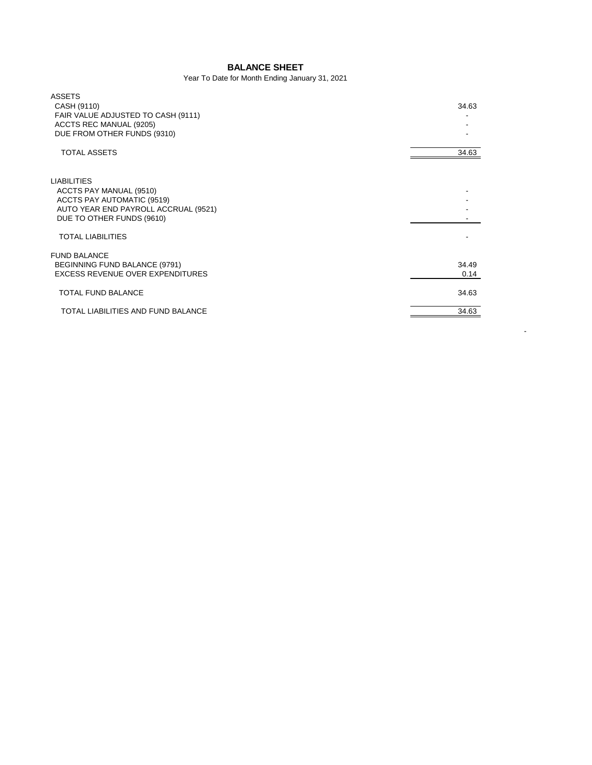## **BALANCE SHEET**

## Year To Date for Month Ending January 31, 2021

| <b>ASSETS</b><br>CASH (9110)<br>FAIR VALUE ADJUSTED TO CASH (9111)<br>ACCTS REC MANUAL (9205)<br>DUE FROM OTHER FUNDS (9310)                     | 34.63         |
|--------------------------------------------------------------------------------------------------------------------------------------------------|---------------|
| <b>TOTAL ASSETS</b>                                                                                                                              | 34.63         |
| <b>LIABILITIES</b><br>ACCTS PAY MANUAL (9510)<br>ACCTS PAY AUTOMATIC (9519)<br>AUTO YEAR END PAYROLL ACCRUAL (9521)<br>DUE TO OTHER FUNDS (9610) |               |
| <b>TOTAL LIABILITIES</b>                                                                                                                         |               |
| <b>FUND BALANCE</b><br>BEGINNING FUND BALANCE (9791)<br>EXCESS REVENUE OVER EXPENDITURES                                                         | 34.49<br>0.14 |
| <b>TOTAL FUND BALANCE</b>                                                                                                                        | 34.63         |
| TOTAL LIABILITIES AND FUND BALANCE                                                                                                               | 34.63         |

- 100 pm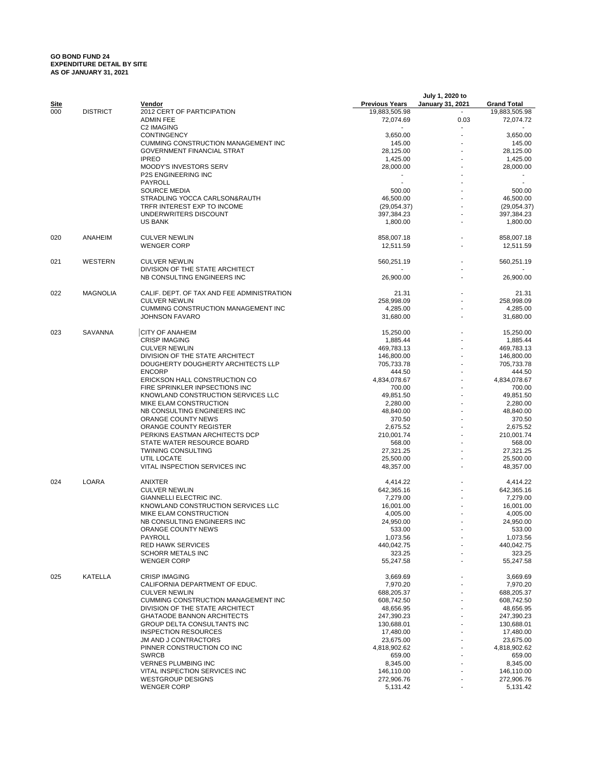## **GO BOND FUND 24 EXPENDITURE DETAIL BY SITE AS OF JANUARY 31, 2021**

|             |                 |                                            |                       | July 1, 2020 to         |                    |
|-------------|-----------------|--------------------------------------------|-----------------------|-------------------------|--------------------|
| <u>Site</u> |                 | Vendor                                     | <b>Previous Years</b> | <b>January 31, 2021</b> | <b>Grand Total</b> |
| 000         | <b>DISTRICT</b> | 2012 CERT OF PARTICIPATION                 | 19,883,505.98         |                         | 19,883,505.98      |
|             |                 | <b>ADMIN FEE</b>                           | 72,074.69             | 0.03                    | 72,074.72          |
|             |                 | C2 IMAGING                                 |                       |                         |                    |
|             |                 | <b>CONTINGENCY</b>                         | 3,650.00              |                         | 3,650.00           |
|             |                 | <b>CUMMING CONSTRUCTION MANAGEMENT INC</b> | 145.00                |                         | 145.00             |
|             |                 | <b>GOVERNMENT FINANCIAL STRAT</b>          | 28,125.00             |                         | 28,125.00          |
|             |                 | <b>IPREO</b>                               | 1,425.00              |                         | 1,425.00           |
|             |                 | MOODY'S INVESTORS SERV                     | 28,000.00             |                         | 28,000.00          |
|             |                 | <b>P2S ENGINEERING INC</b>                 |                       |                         |                    |
|             |                 | PAYROLL                                    |                       |                         |                    |
|             |                 | <b>SOURCE MEDIA</b>                        | 500.00                |                         | 500.00             |
|             |                 | STRADLING YOCCA CARLSON&RAUTH              | 46,500.00             |                         | 46,500.00          |
|             |                 | TRFR INTEREST EXP TO INCOME                | (29,054.37)           |                         | (29,054.37)        |
|             |                 | UNDERWRITERS DISCOUNT                      | 397,384.23            |                         | 397,384.23         |
|             |                 | <b>US BANK</b>                             | 1,800.00              |                         | 1,800.00           |
| 020         | ANAHEIM         | <b>CULVER NEWLIN</b>                       | 858,007.18            |                         | 858,007.18         |
|             |                 | <b>WENGER CORP</b>                         | 12,511.59             |                         | 12,511.59          |
| 021         | WESTERN         | <b>CULVER NEWLIN</b>                       | 560,251.19            |                         | 560,251.19         |
|             |                 | DIVISION OF THE STATE ARCHITECT            |                       |                         |                    |
|             |                 | NB CONSULTING ENGINEERS INC                | 26,900.00             |                         | 26,900.00          |
|             |                 |                                            |                       |                         |                    |
| 022         | <b>MAGNOLIA</b> | CALIF. DEPT. OF TAX AND FEE ADMINISTRATION | 21.31                 |                         | 21.31              |
|             |                 | <b>CULVER NEWLIN</b>                       | 258,998.09            |                         | 258,998.09         |
|             |                 | CUMMING CONSTRUCTION MANAGEMENT INC        | 4,285.00              |                         | 4,285.00           |
|             |                 | <b>JOHNSON FAVARO</b>                      | 31,680.00             |                         | 31,680.00          |
|             |                 |                                            |                       |                         |                    |
| 023         | SAVANNA         | <b>CITY OF ANAHEIM</b>                     | 15,250.00             |                         | 15,250.00          |
|             |                 | <b>CRISP IMAGING</b>                       | 1,885.44              |                         | 1,885.44           |
|             |                 | <b>CULVER NEWLIN</b>                       | 469,783.13            |                         | 469,783.13         |
|             |                 | DIVISION OF THE STATE ARCHITECT            | 146,800.00            |                         | 146,800.00         |
|             |                 | DOUGHERTY DOUGHERTY ARCHITECTS LLP         | 705,733.78            |                         | 705,733.78         |
|             |                 | <b>ENCORP</b>                              | 444.50                |                         | 444.50             |
|             |                 | ERICKSON HALL CONSTRUCTION CO              | 4,834,078.67          |                         | 4,834,078.67       |
|             |                 | FIRE SPRINKLER INPSECTIONS INC             | 700.00                |                         | 700.00             |
|             |                 | KNOWLAND CONSTRUCTION SERVICES LLC         | 49,851.50             |                         | 49,851.50          |
|             |                 | MIKE ELAM CONSTRUCTION                     | 2,280.00              |                         | 2,280.00           |
|             |                 | NB CONSULTING ENGINEERS INC                | 48,840.00             |                         | 48,840.00          |
|             |                 | ORANGE COUNTY NEWS                         | 370.50                |                         | 370.50             |
|             |                 | ORANGE COUNTY REGISTER                     | 2,675.52              |                         | 2,675.52           |
|             |                 | PERKINS EASTMAN ARCHITECTS DCP             | 210,001.74            |                         | 210,001.74         |
|             |                 | STATE WATER RESOURCE BOARD                 | 568.00                |                         | 568.00             |
|             |                 | <b>TWINING CONSULTING</b>                  | 27,321.25             |                         | 27,321.25          |
|             |                 | UTIL LOCATE                                | 25,500.00             |                         | 25,500.00          |
|             |                 | VITAL INSPECTION SERVICES INC              | 48,357.00             |                         | 48,357.00          |
|             |                 |                                            |                       |                         |                    |
| 024         | LOARA           | ANIXTER                                    | 4,414.22              |                         | 4,414.22           |
|             |                 | <b>CULVER NEWLIN</b>                       | 642,365.16            |                         | 642,365.16         |
|             |                 | GIANNELLI ELECTRIC INC.                    | 7,279.00              |                         | 7,279.00           |
|             |                 | KNOWLAND CONSTRUCTION SERVICES LLC         | 16,001.00             |                         | 16,001.00          |
|             |                 | MIKE ELAM CONSTRUCTION                     | 4,005.00              |                         | 4,005.00           |
|             |                 | NB CONSULTING ENGINEERS INC                | 24,950.00             |                         | 24,950.00          |
|             |                 | ORANGE COUNTY NEWS                         | 533.00                |                         | 533.00             |
|             |                 | PAYROLL                                    | 1,073.56              |                         | 1,073.56           |
|             |                 | <b>RED HAWK SERVICES</b>                   | 440,042.75            |                         | 440,042.75         |
|             |                 | <b>SCHORR METALS INC</b>                   | 323.25                |                         | 323.25             |
|             |                 | <b>WENGER CORP</b>                         | 55,247.58             |                         | 55,247.58          |
|             |                 |                                            |                       |                         |                    |
| 025         | KATELLA         | <b>CRISP IMAGING</b>                       | 3,669.69              |                         | 3,669.69           |
|             |                 | CALIFORNIA DEPARTMENT OF EDUC.             | 7,970.20              |                         | 7,970.20           |
|             |                 | <b>CULVER NEWLIN</b>                       | 688,205.37            |                         | 688,205.37         |
|             |                 | CUMMING CONSTRUCTION MANAGEMENT INC        | 608,742.50            |                         | 608,742.50         |
|             |                 | DIVISION OF THE STATE ARCHITECT            | 48,656.95             |                         | 48,656.95          |
|             |                 | <b>GHATAODE BANNON ARCHITECTS</b>          | 247,390.23            |                         | 247,390.23         |
|             |                 | <b>GROUP DELTA CONSULTANTS INC</b>         | 130,688.01            |                         | 130,688.01         |
|             |                 | <b>INSPECTION RESOURCES</b>                | 17,480.00             |                         | 17,480.00          |
|             |                 | JM AND J CONTRACTORS                       | 23,675.00             |                         | 23,675.00          |
|             |                 | PINNER CONSTRUCTION CO INC                 | 4,818,902.62          |                         | 4,818,902.62       |
|             |                 | <b>SWRCB</b>                               | 659.00                |                         | 659.00             |
|             |                 | <b>VERNES PLUMBING INC</b>                 | 8,345.00              |                         | 8,345.00           |
|             |                 | VITAL INSPECTION SERVICES INC              | 146,110.00            |                         | 146,110.00         |
|             |                 | <b>WESTGROUP DESIGNS</b>                   | 272,906.76            |                         | 272,906.76         |
|             |                 | <b>WENGER CORP</b>                         | 5,131.42              |                         | 5,131.42           |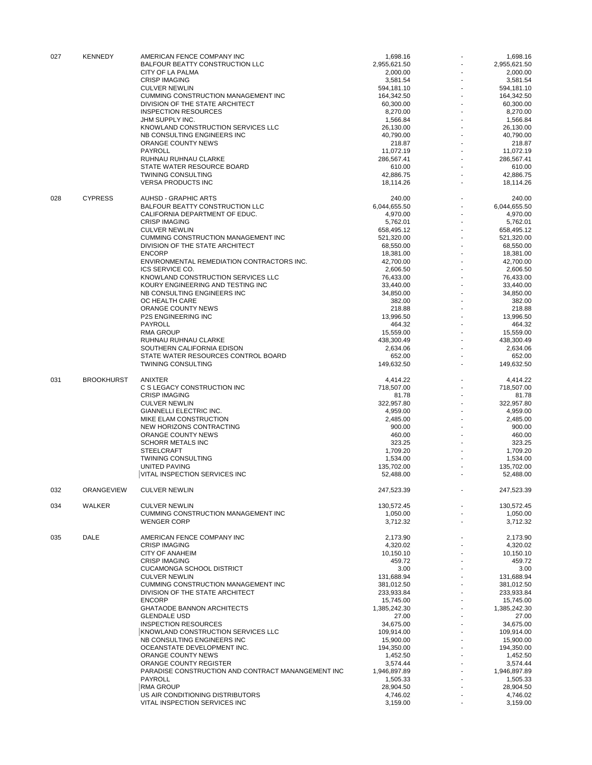| 027 | <b>KENNEDY</b>    | AMERICAN FENCE COMPANY INC<br><b>BALFOUR BEATTY CONSTRUCTION LLC</b> | 1,698.16<br>2,955,621.50 |   | 1,698.16<br>2,955,621.50 |
|-----|-------------------|----------------------------------------------------------------------|--------------------------|---|--------------------------|
|     |                   | CITY OF LA PALMA                                                     | 2,000.00                 |   | 2,000.00                 |
|     |                   | <b>CRISP IMAGING</b>                                                 | 3,581.54                 |   | 3,581.54                 |
|     |                   | <b>CULVER NEWLIN</b>                                                 | 594,181.10               |   | 594,181.10               |
|     |                   | CUMMING CONSTRUCTION MANAGEMENT INC                                  | 164,342.50               |   | 164,342.50               |
|     |                   | DIVISION OF THE STATE ARCHITECT                                      | 60,300.00                |   | 60,300.00                |
|     |                   | <b>INSPECTION RESOURCES</b>                                          | 8,270.00                 |   | 8.270.00                 |
|     |                   | JHM SUPPLY INC.                                                      | 1,566.84                 |   | 1,566.84                 |
|     |                   | KNOWLAND CONSTRUCTION SERVICES LLC                                   | 26,130.00                |   | 26,130.00                |
|     |                   | NB CONSULTING ENGINEERS INC                                          | 40,790.00                |   | 40,790.00                |
|     |                   | ORANGE COUNTY NEWS                                                   | 218.87                   |   | 218.87                   |
|     |                   | <b>PAYROLL</b>                                                       | 11,072.19                |   | 11,072.19                |
|     |                   | RUHNAU RUHNAU CLARKE<br>STATE WATER RESOURCE BOARD                   | 286,567.41<br>610.00     |   | 286,567.41<br>610.00     |
|     |                   | <b>TWINING CONSULTING</b>                                            | 42,886.75                |   | 42,886.75                |
|     |                   | <b>VERSA PRODUCTS INC</b>                                            | 18,114.26                |   | 18,114.26                |
| 028 | <b>CYPRESS</b>    | <b>AUHSD - GRAPHIC ARTS</b>                                          | 240.00                   |   | 240.00                   |
|     |                   | <b>BALFOUR BEATTY CONSTRUCTION LLC</b>                               | 6,044,655.50             |   | 6,044,655.50             |
|     |                   | CALIFORNIA DEPARTMENT OF EDUC.                                       | 4,970.00                 |   | 4,970.00                 |
|     |                   | <b>CRISP IMAGING</b>                                                 | 5,762.01                 |   | 5,762.01                 |
|     |                   | <b>CULVER NEWLIN</b>                                                 | 658,495.12               |   | 658,495.12               |
|     |                   | CUMMING CONSTRUCTION MANAGEMENT INC                                  | 521,320.00               |   | 521,320.00               |
|     |                   | DIVISION OF THE STATE ARCHITECT                                      | 68,550.00                |   | 68,550.00                |
|     |                   | <b>ENCORP</b>                                                        | 18,381.00                |   | 18.381.00                |
|     |                   | ENVIRONMENTAL REMEDIATION CONTRACTORS INC.                           | 42,700.00                |   | 42,700.00                |
|     |                   | ICS SERVICE CO.                                                      | 2,606.50                 |   | 2,606.50                 |
|     |                   | KNOWLAND CONSTRUCTION SERVICES LLC                                   | 76,433.00                |   | 76,433.00                |
|     |                   | KOURY ENGINEERING AND TESTING INC                                    | 33,440.00                |   | 33,440.00                |
|     |                   | NB CONSULTING ENGINEERS INC                                          | 34,850.00                |   | 34,850.00                |
|     |                   | OC HEALTH CARE                                                       | 382.00                   |   | 382.00                   |
|     |                   | ORANGE COUNTY NEWS                                                   | 218.88                   |   | 218.88                   |
|     |                   | <b>P2S ENGINEERING INC</b>                                           | 13,996.50                |   | 13,996.50                |
|     |                   | <b>PAYROLL</b>                                                       | 464.32                   |   | 464.32                   |
|     |                   | <b>RMA GROUP</b>                                                     | 15,559.00                |   | 15,559.00                |
|     |                   | RUHNAU RUHNAU CLARKE                                                 | 438,300.49               |   | 438,300.49               |
|     |                   | SOUTHERN CALIFORNIA EDISON                                           | 2,634.06                 |   | 2,634.06                 |
|     |                   | STATE WATER RESOURCES CONTROL BOARD                                  | 652.00                   |   | 652.00                   |
|     |                   | <b>TWINING CONSULTING</b>                                            | 149,632.50               |   | 149,632.50               |
| 031 | <b>BROOKHURST</b> | ANIXTER                                                              | 4,414.22                 |   | 4,414.22                 |
|     |                   | C S LEGACY CONSTRUCTION INC                                          | 718,507.00               |   | 718,507.00               |
|     |                   | <b>CRISP IMAGING</b>                                                 | 81.78                    |   | 81.78                    |
|     |                   | <b>CULVER NEWLIN</b>                                                 | 322,957.80               |   | 322,957.80               |
|     |                   | GIANNELLI ELECTRIC INC.                                              | 4,959.00                 |   | 4,959.00                 |
|     |                   | MIKE ELAM CONSTRUCTION                                               | 2,485.00                 |   | 2,485.00                 |
|     |                   | NEW HORIZONS CONTRACTING                                             | 900.00                   |   | 900.00                   |
|     |                   | ORANGE COUNTY NEWS                                                   | 460.00                   |   | 460.00                   |
|     |                   | <b>SCHORR METALS INC</b>                                             | 323.25                   |   | 323.25                   |
|     |                   | <b>STEELCRAFT</b>                                                    | 1,709.20                 |   | 1,709.20                 |
|     |                   | <b>TWINING CONSULTING</b>                                            | 1,534.00                 |   | 1,534.00                 |
|     |                   | <b>UNITED PAVING</b>                                                 | 135,702.00               |   | 135,702.00               |
|     |                   | VITAL INSPECTION SERVICES INC                                        | 52,488.00                |   | 52,488.00                |
| 032 | ORANGEVIEW        | <b>CULVER NEWLIN</b>                                                 | 247,523.39               |   | 247,523.39               |
| 034 | WALKER            | <b>CULVER NEWLIN</b>                                                 | 130,572.45               |   | 130,572.45               |
|     |                   | CUMMING CONSTRUCTION MANAGEMENT INC                                  | 1,050.00                 |   | 1.050.00                 |
|     |                   | <b>WENGER CORP</b>                                                   | 3,712.32                 |   | 3,712.32                 |
|     |                   |                                                                      |                          |   |                          |
| 035 | <b>DALE</b>       | AMERICAN FENCE COMPANY INC                                           | 2,173.90                 |   | 2,173.90                 |
|     |                   | <b>CRISP IMAGING</b>                                                 | 4.320.02                 |   | 4,320.02                 |
|     |                   | CITY OF ANAHEIM                                                      | 10,150.10                |   | 10,150.10                |
|     |                   | <b>CRISP IMAGING</b>                                                 | 459.72                   |   | 459.72                   |
|     |                   | <b>CUCAMONGA SCHOOL DISTRICT</b>                                     | 3.00                     |   | 3.00                     |
|     |                   | <b>CULVER NEWLIN</b>                                                 | 131,688.94               |   | 131,688.94               |
|     |                   | CUMMING CONSTRUCTION MANAGEMENT INC                                  | 381,012.50               |   | 381,012.50               |
|     |                   | DIVISION OF THE STATE ARCHITECT                                      | 233,933.84               |   | 233,933.84               |
|     |                   | <b>ENCORP</b>                                                        | 15,745.00                |   | 15,745.00                |
|     |                   | GHATAODE BANNON ARCHITECTS<br><b>GLENDALE USD</b>                    | 1,385,242.30             |   | 1,385,242.30             |
|     |                   |                                                                      | 27.00                    |   | 27.00                    |
|     |                   | <b>INSPECTION RESOURCES</b>                                          | 34,675.00                |   | 34,675.00                |
|     |                   | KNOWLAND CONSTRUCTION SERVICES LLC                                   | 109,914.00               |   | 109,914.00               |
|     |                   | NB CONSULTING ENGINEERS INC                                          | 15,900.00                |   | 15,900.00                |
|     |                   | OCEANSTATE DEVELOPMENT INC.                                          | 194,350.00               |   | 194,350.00               |
|     |                   | ORANGE COUNTY NEWS                                                   | 1,452.50                 |   | 1,452.50                 |
|     |                   | ORANGE COUNTY REGISTER                                               | 3,574.44                 |   | 3,574.44                 |
|     |                   | PARADISE CONSTRUCTION AND CONTRACT MANANGEMENT INC                   | 1,946,897.89             |   | 1,946,897.89             |
|     |                   | PAYROLL<br><b>RMA GROUP</b>                                          | 1,505.33                 |   | 1,505.33                 |
|     |                   | US AIR CONDITIONING DISTRIBUTORS                                     | 28,904.50<br>4,746.02    |   | 28,904.50<br>4,746.02    |
|     |                   | VITAL INSPECTION SERVICES INC                                        | 3,159.00                 | ٠ | 3,159.00                 |
|     |                   |                                                                      |                          |   |                          |